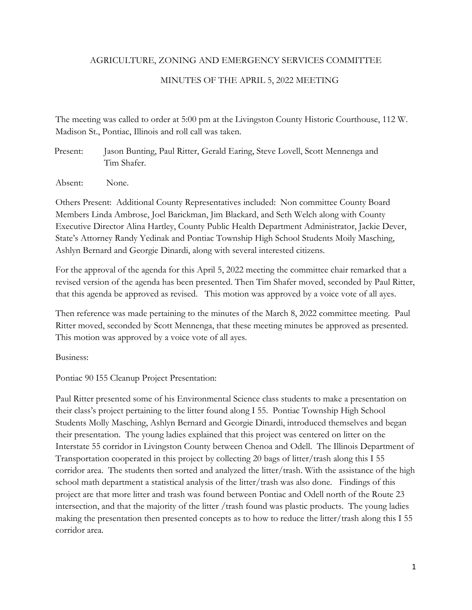## AGRICULTURE, ZONING AND EMERGENCY SERVICES COMMITTEE

## MINUTES OF THE APRIL 5, 2022 MEETING

The meeting was called to order at 5:00 pm at the Livingston County Historic Courthouse, 112 W. Madison St., Pontiac, Illinois and roll call was taken.

 Present: Jason Bunting, Paul Ritter, Gerald Earing, Steve Lovell, Scott Mennenga and Tim Shafer.

Absent: None.

Others Present: Additional County Representatives included: Non committee County Board Members Linda Ambrose, Joel Barickman, Jim Blackard, and Seth Welch along with County Executive Director Alina Hartley, County Public Health Department Administrator, Jackie Dever, State's Attorney Randy Yedinak and Pontiac Township High School Students Moily Masching, Ashlyn Bernard and Georgie Dinardi, along with several interested citizens.

For the approval of the agenda for this April 5, 2022 meeting the committee chair remarked that a revised version of the agenda has been presented. Then Tim Shafer moved, seconded by Paul Ritter, that this agenda be approved as revised. This motion was approved by a voice vote of all ayes.

Then reference was made pertaining to the minutes of the March 8, 2022 committee meeting. Paul Ritter moved, seconded by Scott Mennenga, that these meeting minutes be approved as presented. This motion was approved by a voice vote of all ayes.

Business:

Pontiac 90 I55 Cleanup Project Presentation:

Paul Ritter presented some of his Environmental Science class students to make a presentation on their class's project pertaining to the litter found along I 55. Pontiac Township High School Students Molly Masching, Ashlyn Bernard and Georgie Dinardi, introduced themselves and began their presentation. The young ladies explained that this project was centered on litter on the Interstate 55 corridor in Livingston County between Chenoa and Odell. The Illinois Department of Transportation cooperated in this project by collecting 20 bags of litter/trash along this I 55 corridor area. The students then sorted and analyzed the litter/trash. With the assistance of the high school math department a statistical analysis of the litter/trash was also done. Findings of this project are that more litter and trash was found between Pontiac and Odell north of the Route 23 intersection, and that the majority of the litter /trash found was plastic products. The young ladies making the presentation then presented concepts as to how to reduce the litter/trash along this I 55 corridor area.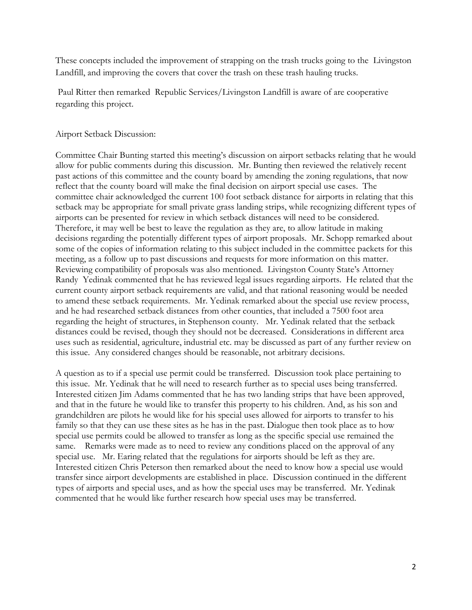These concepts included the improvement of strapping on the trash trucks going to the Livingston Landfill, and improving the covers that cover the trash on these trash hauling trucks.

 Paul Ritter then remarked Republic Services/Livingston Landfill is aware of are cooperative regarding this project.

## Airport Setback Discussion:

Committee Chair Bunting started this meeting's discussion on airport setbacks relating that he would allow for public comments during this discussion. Mr. Bunting then reviewed the relatively recent past actions of this committee and the county board by amending the zoning regulations, that now reflect that the county board will make the final decision on airport special use cases. The committee chair acknowledged the current 100 foot setback distance for airports in relating that this setback may be appropriate for small private grass landing strips, while recognizing different types of airports can be presented for review in which setback distances will need to be considered. Therefore, it may well be best to leave the regulation as they are, to allow latitude in making decisions regarding the potentially different types of airport proposals. Mr. Schopp remarked about some of the copies of information relating to this subject included in the committee packets for this meeting, as a follow up to past discussions and requests for more information on this matter. Reviewing compatibility of proposals was also mentioned. Livingston County State's Attorney Randy Yedinak commented that he has reviewed legal issues regarding airports. He related that the current county airport setback requirements are valid, and that rational reasoning would be needed to amend these setback requirements. Mr. Yedinak remarked about the special use review process, and he had researched setback distances from other counties, that included a 7500 foot area regarding the height of structures, in Stephenson county. Mr. Yedinak related that the setback distances could be revised, though they should not be decreased. Considerations in different area uses such as residential, agriculture, industrial etc. may be discussed as part of any further review on this issue. Any considered changes should be reasonable, not arbitrary decisions.

A question as to if a special use permit could be transferred. Discussion took place pertaining to this issue. Mr. Yedinak that he will need to research further as to special uses being transferred. Interested citizen Jim Adams commented that he has two landing strips that have been approved, and that in the future he would like to transfer this property to his children. And, as his son and grandchildren are pilots he would like for his special uses allowed for airports to transfer to his family so that they can use these sites as he has in the past. Dialogue then took place as to how special use permits could be allowed to transfer as long as the specific special use remained the same. Remarks were made as to need to review any conditions placed on the approval of any special use. Mr. Earing related that the regulations for airports should be left as they are. Interested citizen Chris Peterson then remarked about the need to know how a special use would transfer since airport developments are established in place. Discussion continued in the different types of airports and special uses, and as how the special uses may be transferred. Mr. Yedinak commented that he would like further research how special uses may be transferred.